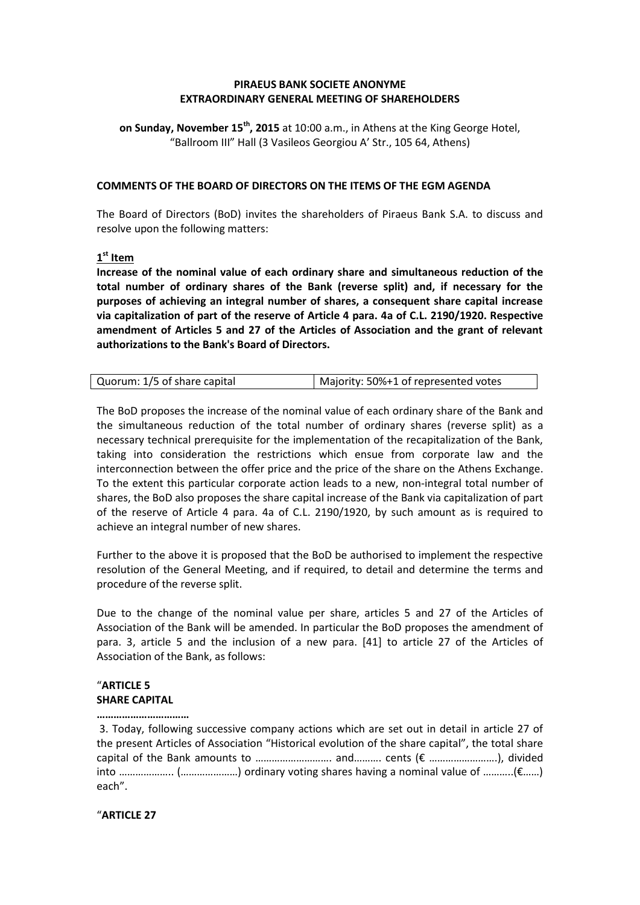## **PIRAEUS BANK SOCIETE ANONYME EXTRAORDINARY GENERAL MEETING OF SHAREHOLDERS**

**on Sunday, November 15th, 2015** at 10:00 a.m., in Athens at the King George Hotel, "Ballroom III" Hall (3 Vasileos Georgiou A' Str., 105 64, Athens)

### **COMMENTS OF THE BOARD OF DIRECTORS ON THE ITEMS OF THE EGM AGENDA**

The Board of Directors (BoD) invites the shareholders of Piraeus Bank S.A. to discuss and resolve upon the following matters:

# **1 st Item**

**Increase of the nominal value of each ordinary share and simultaneous reduction of the total number of ordinary shares of the Bank (reverse split) and, if necessary for the purposes of achieving an integral number of shares, a consequent share capital increase via capitalization of part of the reserve of Article 4 para. 4a of C.L. 2190/1920. Respective amendment of Articles 5 and 27 of the Articles of Association and the grant of relevant authorizations to the Bank's Board of Directors.**

| Quorum: 1/5 of share capital | Majority: 50%+1 of represented votes |
|------------------------------|--------------------------------------|
|                              |                                      |

The BoD proposes the increase of the nominal value of each ordinary share of the Bank and the simultaneous reduction of the total number of ordinary shares (reverse split) as a necessary technical prerequisite for the implementation of the recapitalization of the Bank, taking into consideration the restrictions which ensue from corporate law and the interconnection between the offer price and the price of the share on the Athens Exchange. To the extent this particular corporate action leads to a new, non-integral total number of shares, the BoD also proposes the share capital increase of the Bank via capitalization of part of the reserve of Article 4 para. 4a of C.L. 2190/1920, by such amount as is required to achieve an integral number of new shares.

Further to the above it is proposed that the BoD be authorised to implement the respective resolution of the General Meeting, and if required, to detail and determine the terms and procedure of the reverse split.

Due to the change of the nominal value per share, articles 5 and 27 of the Articles of Association of the Bank will be amended. In particular the BoD proposes the amendment of para. 3, article 5 and the inclusion of a new para. [41] to article 27 of the Articles of Association of the Bank, as follows:

## "**ARTICLE 5 SHARE CAPITAL**

#### **……………………………**

3. Today, following successive company actions which are set out in detail in article 27 of the present Articles of Association "Historical evolution of the share capital", the total share capital of the Bank amounts to ………………………. and………. cents (€ …………………….), divided into ……………….. (…………………) ordinary voting shares having a nominal value of ………..(€……) each".

## "**ARTICLE 27**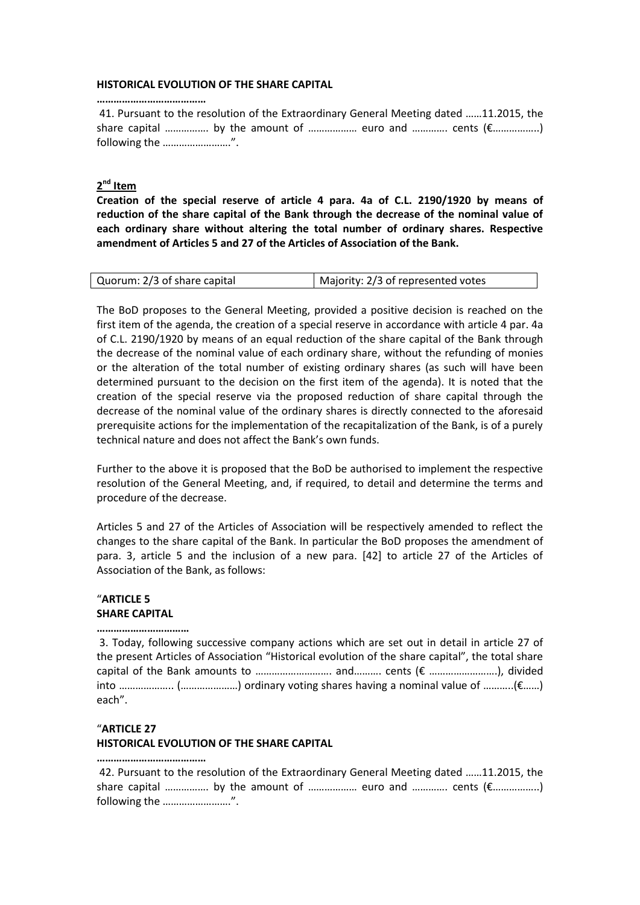#### **HISTORICAL EVOLUTION OF THE SHARE CAPITAL**

41. Pursuant to the resolution of the Extraordinary General Meeting dated ……11.2015, the share capital ……………. by the amount of ……………… euro and …………. cents (€……………..) following the …………………….".

# **2 nd Item**

**…………………………………**

**Creation of the special reserve of article 4 para. 4a of C.L. 2190/1920 by means of reduction of the share capital of the Bank through the decrease of the nominal value of each ordinary share without altering the total number of ordinary shares. Respective amendment of Articles 5 and 27 of the Articles of Association of the Bank.**

| Quorum: 2/3 of share capital | Majority: 2/3 of represented votes |
|------------------------------|------------------------------------|
|                              |                                    |

The BoD proposes to the General Meeting, provided a positive decision is reached on the first item of the agenda, the creation of a special reserve in accordance with article 4 par. 4a of C.L. 2190/1920 by means of an equal reduction of the share capital of the Bank through the decrease of the nominal value of each ordinary share, without the refunding of monies or the alteration of the total number of existing ordinary shares (as such will have been determined pursuant to the decision on the first item of the agenda). It is noted that the creation of the special reserve via the proposed reduction of share capital through the decrease of the nominal value of the ordinary shares is directly connected to the aforesaid prerequisite actions for the implementation of the recapitalization of the Bank, is of a purely technical nature and does not affect the Bank's own funds.

Further to the above it is proposed that the BoD be authorised to implement the respective resolution of the General Meeting, and, if required, to detail and determine the terms and procedure of the decrease.

Articles 5 and 27 of the Articles of Association will be respectively amended to reflect the changes to the share capital of the Bank. In particular the BoD proposes the amendment of para. 3, article 5 and the inclusion of a new para. [42] to article 27 of the Articles of Association of the Bank, as follows:

# "**ARTICLE 5 SHARE CAPITAL**

**……………………………** 

3. Today, following successive company actions which are set out in detail in article 27 of the present Articles of Association "Historical evolution of the share capital", the total share capital of the Bank amounts to ………………………. and………. cents (€ …………………….), divided into ……………….. (…………………) ordinary voting shares having a nominal value of ………..(€……) each".

#### "**ARTICLE 27**

**…………………………………**

## **HISTORICAL EVOLUTION OF THE SHARE CAPITAL**

42. Pursuant to the resolution of the Extraordinary General Meeting dated ……11.2015, the share capital ……………. by the amount of ……………… euro and …………. cents (€……………..) following the …………………….".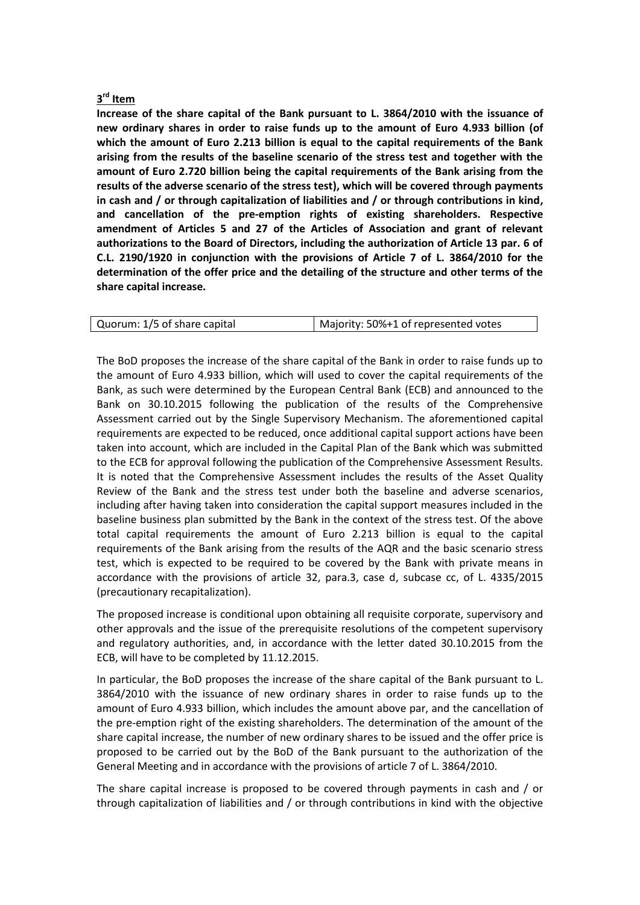# **3 rd Item**

**Increase of the share capital of the Bank pursuant to L. 3864/2010 with the issuance of new ordinary shares in order to raise funds up to the amount of Euro 4.933 billion (of which the amount of Euro 2.213 billion is equal to the capital requirements of the Bank arising from the results of the baseline scenario of the stress test and together with the amount of Euro 2.720 billion being the capital requirements of the Bank arising from the results of the adverse scenario of the stress test), which will be covered through payments in cash and / or through capitalization of liabilities and / or through contributions in kind, and cancellation of the pre-emption rights of existing shareholders. Respective amendment of Articles 5 and 27 of the Articles of Association and grant of relevant authorizations to the Board of Directors, including the authorization of Article 13 par. 6 of C.L. 2190/1920 in conjunction with the provisions of Article 7 of L. 3864/2010 for the determination of the offer price and the detailing of the structure and other terms of the share capital increase.**

| Quorum: 1/5 of share capital | Majority: 50%+1 of represented votes |
|------------------------------|--------------------------------------|
|                              |                                      |

The BoD proposes the increase of the share capital of the Bank in order to raise funds up to the amount of Euro 4.933 billion, which will used to cover the capital requirements of the Bank, as such were determined by the European Central Bank (ECB) and announced to the Bank on 30.10.2015 following the publication of the results of the Comprehensive Assessment carried out by the Single Supervisory Mechanism. The aforementioned capital requirements are expected to be reduced, once additional capital support actions have been taken into account, which are included in the Capital Plan of the Bank which was submitted to the ECB for approval following the publication of the Comprehensive Assessment Results. It is noted that the Comprehensive Assessment includes the results of the Asset Quality Review of the Bank and the stress test under both the baseline and adverse scenarios, including after having taken into consideration the capital support measures included in the baseline business plan submitted by the Bank in the context of the stress test. Of the above total capital requirements the amount of Euro 2.213 billion is equal to the capital requirements of the Bank arising from the results of the AQR and the basic scenario stress test, which is expected to be required to be covered by the Bank with private means in accordance with the provisions of article 32, para.3, case d, subcase cc, of L. 4335/2015 (precautionary recapitalization).

The proposed increase is conditional upon obtaining all requisite corporate, supervisory and other approvals and the issue of the prerequisite resolutions of the competent supervisory and regulatory authorities, and, in accordance with the letter dated 30.10.2015 from the ECB, will have to be completed by 11.12.2015.

In particular, the BoD proposes the increase of the share capital of the Bank pursuant to L. 3864/2010 with the issuance of new ordinary shares in order to raise funds up to the amount of Euro 4.933 billion, which includes the amount above par, and the cancellation of the pre-emption right of the existing shareholders. The determination of the amount of the share capital increase, the number of new ordinary shares to be issued and the offer price is proposed to be carried out by the BoD of the Bank pursuant to the authorization of the General Meeting and in accordance with the provisions of article 7 of L. 3864/2010.

The share capital increase is proposed to be covered through payments in cash and / or through capitalization of liabilities and / or through contributions in kind with the objective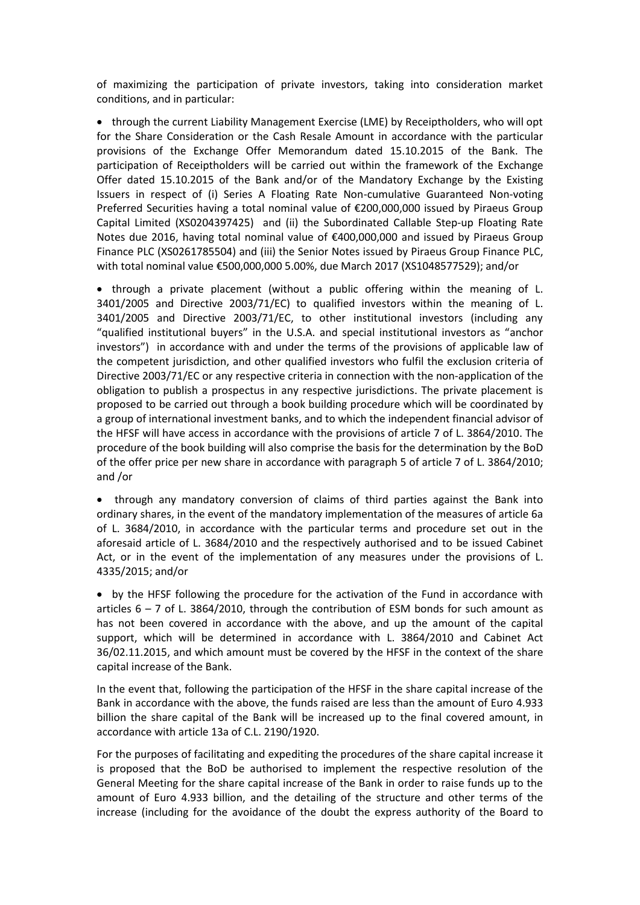of maximizing the participation of private investors, taking into consideration market conditions, and in particular:

• through the current Liability Management Exercise (LME) by Receiptholders, who will opt for the Share Consideration or the Cash Resale Amount in accordance with the particular provisions of the Exchange Offer Memorandum dated 15.10.2015 of the Bank. The participation of Receiptholders will be carried out within the framework of the Exchange Offer dated 15.10.2015 of the Bank and/or of the Mandatory Exchange by the Existing Issuers in respect of (i) Series A Floating Rate Non-cumulative Guaranteed Non-voting Preferred Securities having a total nominal value of €200,000,000 issued by Piraeus Group Capital Limited (XS0204397425) and (ii) the Subordinated Callable Step-up Floating Rate Notes due 2016, having total nominal value of €400,000,000 and issued by Piraeus Group Finance PLC (XS0261785504) and (iii) the Senior Notes issued by Piraeus Group Finance PLC, with total nominal value €500,000,000 5.00%, due March 2017 (XS1048577529); and/or

 through a private placement (without a public offering within the meaning of L. 3401/2005 and Directive 2003/71/EC) to qualified investors within the meaning of L. 3401/2005 and Directive 2003/71/EC, to other institutional investors (including any "qualified institutional buyers" in the U.S.A. and special institutional investors as "anchor investors") in accordance with and under the terms of the provisions of applicable law of the competent jurisdiction, and other qualified investors who fulfil the exclusion criteria of Directive 2003/71/EC or any respective criteria in connection with the non-application of the obligation to publish a prospectus in any respective jurisdictions. The private placement is proposed to be carried out through a book building procedure which will be coordinated by a group of international investment banks, and to which the independent financial advisor of the HFSF will have access in accordance with the provisions of article 7 of L. 3864/2010. The procedure of the book building will also comprise the basis for the determination by the BoD of the offer price per new share in accordance with paragraph 5 of article 7 of L. 3864/2010; and /or

• through any mandatory conversion of claims of third parties against the Bank into ordinary shares, in the event of the mandatory implementation of the measures of article 6a of L. 3684/2010, in accordance with the particular terms and procedure set out in the aforesaid article of L. 3684/2010 and the respectively authorised and to be issued Cabinet Act, or in the event of the implementation of any measures under the provisions of L. 4335/2015; and/or

• by the HFSF following the procedure for the activation of the Fund in accordance with articles  $6 - 7$  of L. 3864/2010, through the contribution of ESM bonds for such amount as has not been covered in accordance with the above, and up the amount of the capital support, which will be determined in accordance with L. 3864/2010 and Cabinet Act 36/02.11.2015, and which amount must be covered by the HFSF in the context of the share capital increase of the Bank.

In the event that, following the participation of the HFSF in the share capital increase of the Bank in accordance with the above, the funds raised are less than the amount of Euro 4.933 billion the share capital of the Bank will be increased up to the final covered amount, in accordance with article 13a of C.L. 2190/1920.

For the purposes of facilitating and expediting the procedures of the share capital increase it is proposed that the BoD be authorised to implement the respective resolution of the General Meeting for the share capital increase of the Bank in order to raise funds up to the amount of Euro 4.933 billion, and the detailing of the structure and other terms of the increase (including for the avoidance of the doubt the express authority of the Board to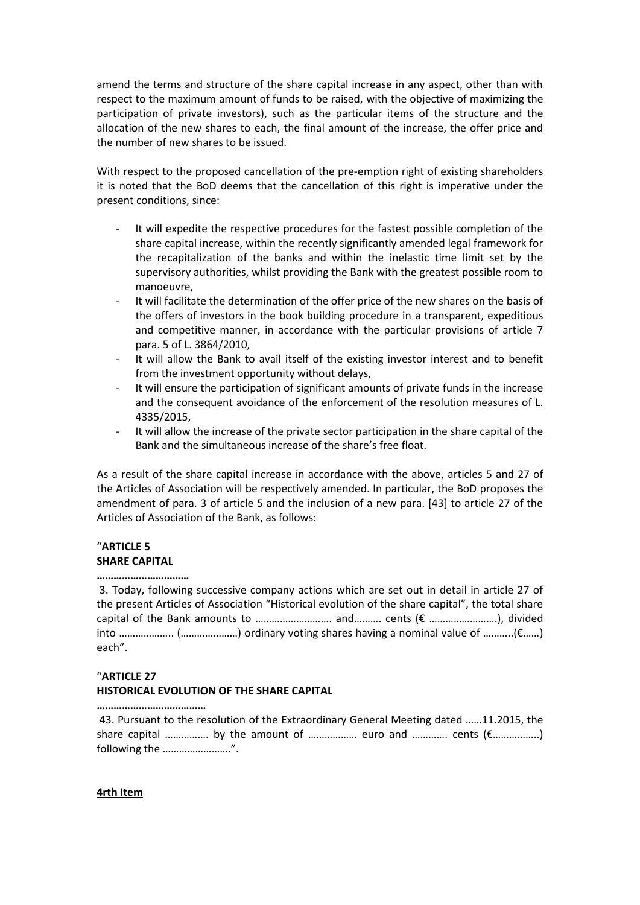amend the terms and structure of the share capital increase in any aspect, other than with respect to the maximum amount of funds to be raised, with the objective of maximizing the participation of private investors), such as the particular items of the structure and the allocation of the new shares to each, the final amount of the increase, the offer price and the number of new shares to be issued.

With respect to the proposed cancellation of the pre-emption right of existing shareholders it is noted that the BoD deems that the cancellation of this right is imperative under the present conditions, since:

- It will expedite the respective procedures for the fastest possible completion of the share capital increase, within the recently significantly amended legal framework for the recapitalization of the banks and within the inelastic time limit set by the supervisory authorities, whilst providing the Bank with the greatest possible room to manoeuvre,
- It will facilitate the determination of the offer price of the new shares on the basis of the offers of investors in the book building procedure in a transparent, expeditious and competitive manner, in accordance with the particular provisions of article 7 para. 5 of L. 3864/2010,
- It will allow the Bank to avail itself of the existing investor interest and to benefit from the investment opportunity without delays,
- It will ensure the participation of significant amounts of private funds in the increase and the consequent avoidance of the enforcement of the resolution measures of L. 4335/2015,
- It will allow the increase of the private sector participation in the share capital of the Bank and the simultaneous increase of the share's free float.

As a result of the share capital increase in accordance with the above, articles 5 and 27 of the Articles of Association will be respectively amended. In particular, the BoD proposes the amendment of para. 3 of article 5 and the inclusion of a new para. [43] to article 27 of the Articles of Association of the Bank, as follows:

## "**ARTICLE 5 SHARE CAPITAL**

#### **……………………………**

3. Today, following successive company actions which are set out in detail in article 27 of the present Articles of Association "Historical evolution of the share capital", the total share capital of the Bank amounts to ………………………. and………. cents (€ …………………….), divided into ……………….. (…………………) ordinary voting shares having a nominal value of ………..(€……) each".

# "**ARTICLE 27 HISTORICAL EVOLUTION OF THE SHARE CAPITAL**

**…………………………………**

43. Pursuant to the resolution of the Extraordinary General Meeting dated ……11.2015, the share capital ……………. by the amount of ……………… euro and …………. cents (€……………..) following the …………………….".

## **4rth Item**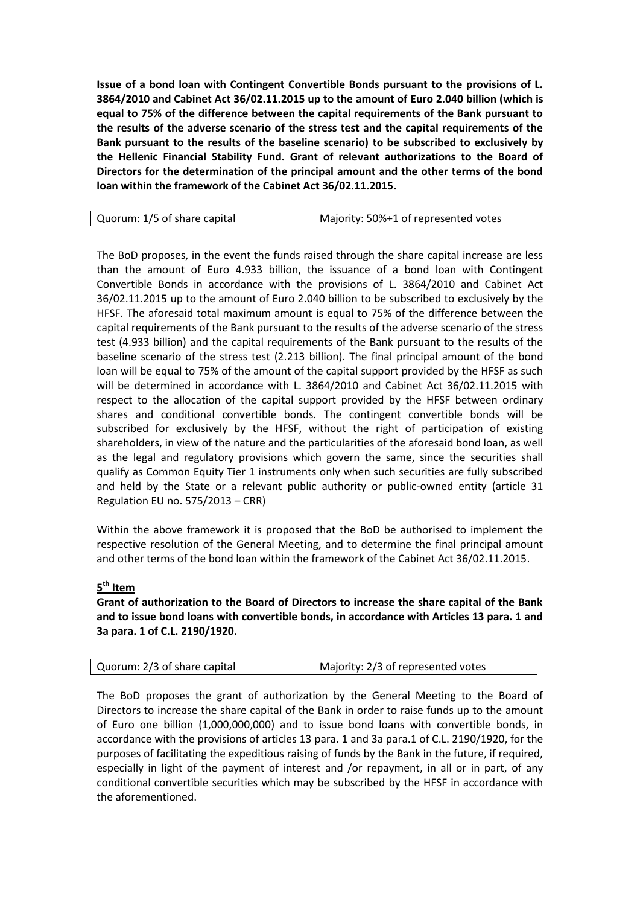**Issue of a bond loan with Contingent Convertible Bonds pursuant to the provisions of L. 3864/2010 and Cabinet Act 36/02.11.2015 up to the amount of Euro 2.040 billion (which is equal to 75% of the difference between the capital requirements of the Bank pursuant to the results of the adverse scenario of the stress test and the capital requirements of the Bank pursuant to the results of the baseline scenario) to be subscribed to exclusively by the Hellenic Financial Stability Fund. Grant of relevant authorizations to the Board of Directors for the determination of the principal amount and the other terms of the bond loan within the framework of the Cabinet Act 36/02.11.2015.**

| Quorum: 1/5 of share capital | Majority: 50%+1 of represented votes |
|------------------------------|--------------------------------------|

The BoD proposes, in the event the funds raised through the share capital increase are less than the amount of Euro 4.933 billion, the issuance of a bond loan with Contingent Convertible Bonds in accordance with the provisions of L. 3864/2010 and Cabinet Act 36/02.11.2015 up to the amount of Euro 2.040 billion to be subscribed to exclusively by the HFSF. The aforesaid total maximum amount is equal to 75% of the difference between the capital requirements of the Bank pursuant to the results of the adverse scenario of the stress test (4.933 billion) and the capital requirements of the Bank pursuant to the results of the baseline scenario of the stress test (2.213 billion). The final principal amount of the bond loan will be equal to 75% of the amount of the capital support provided by the HFSF as such will be determined in accordance with L. 3864/2010 and Cabinet Act 36/02.11.2015 with respect to the allocation of the capital support provided by the HFSF between ordinary shares and conditional convertible bonds. The contingent convertible bonds will be subscribed for exclusively by the HFSF, without the right of participation of existing shareholders, in view of the nature and the particularities of the aforesaid bond loan, as well as the legal and regulatory provisions which govern the same, since the securities shall qualify as Common Equity Tier 1 instruments only when such securities are fully subscribed and held by the State or a relevant public authority or public-owned entity (article 31 Regulation EU no. 575/2013 – CRR)

Within the above framework it is proposed that the BoD be authorised to implement the respective resolution of the General Meeting, and to determine the final principal amount and other terms of the bond loan within the framework of the Cabinet Act 36/02.11.2015.

# **5 th Item**

**Grant of authorization to the Board of Directors to increase the share capital of the Bank and to issue bond loans with convertible bonds, in accordance with Articles 13 para. 1 and 3a para. 1 of C.L. 2190/1920.**

| Quorum: 2/3 of share capital | Majority: 2/3 of represented votes |
|------------------------------|------------------------------------|
|------------------------------|------------------------------------|

The BoD proposes the grant of authorization by the General Meeting to the Board of Directors to increase the share capital of the Bank in order to raise funds up to the amount of Euro one billion (1,000,000,000) and to issue bond loans with convertible bonds, in accordance with the provisions of articles 13 para. 1 and 3a para.1 of C.L. 2190/1920, for the purposes of facilitating the expeditious raising of funds by the Bank in the future, if required, especially in light of the payment of interest and /or repayment, in all or in part, of any conditional convertible securities which may be subscribed by the HFSF in accordance with the aforementioned.